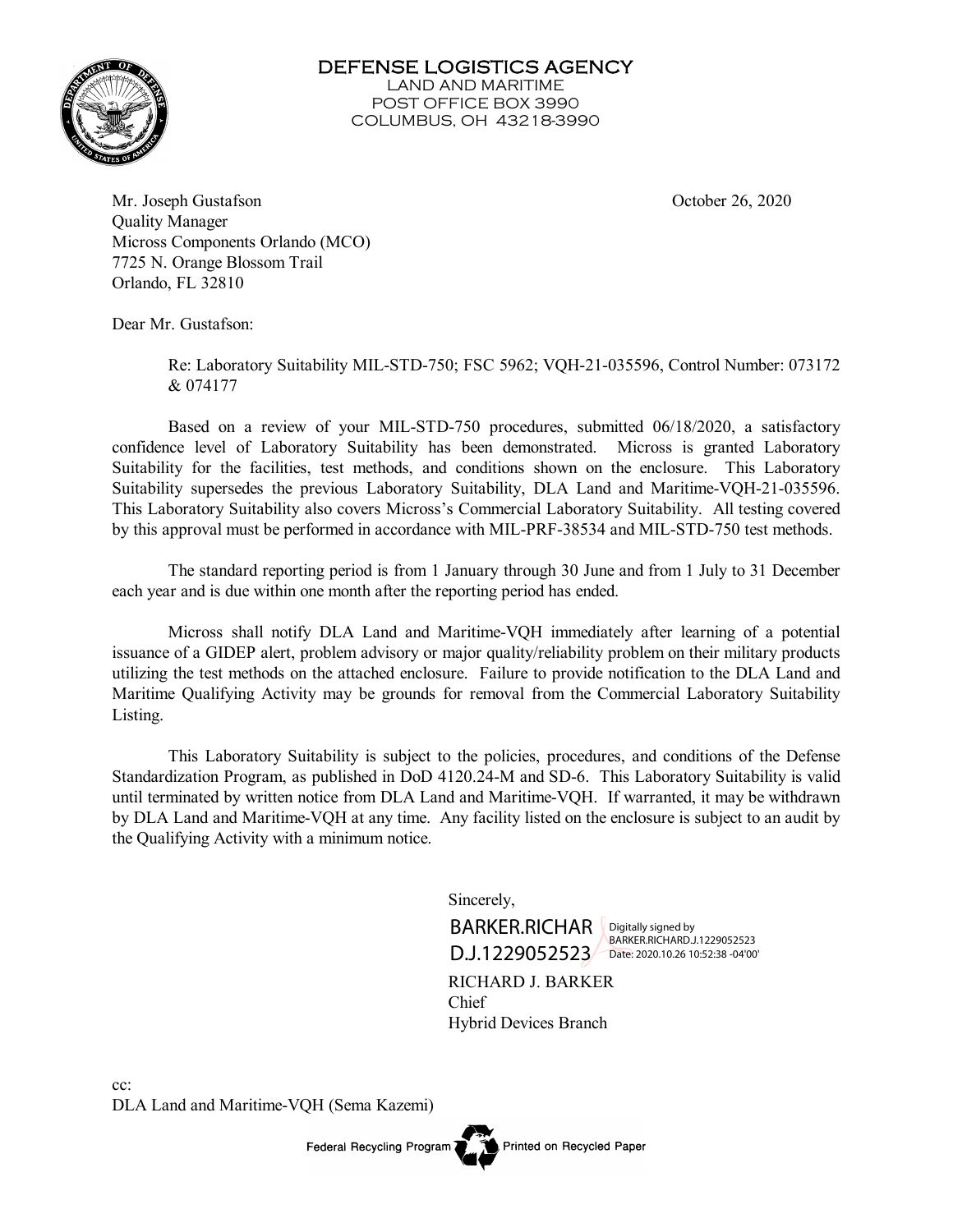

DEFENSE LOGISTICS AGENCY LAND AND MARITIME POST OFFICE BOX 3990 COLUMBUS, OH 43218-3990

Mr. Joseph Gustafson October 26, 2020 Quality Manager Micross Components Orlando (MCO) 7725 N. Orange Blossom Trail Orlando, FL 32810

Dear Mr. Gustafson:

Re: Laboratory Suitability MIL-STD-750; FSC 5962; VQH-21-035596, Control Number: 073172 & 074177

Based on a review of your MIL-STD-750 procedures, submitted 06/18/2020, a satisfactory confidence level of Laboratory Suitability has been demonstrated. Micross is granted Laboratory Suitability for the facilities, test methods, and conditions shown on the enclosure. This Laboratory Suitability supersedes the previous Laboratory Suitability, DLA Land and Maritime-VQH-21-035596. This Laboratory Suitability also covers Micross's Commercial Laboratory Suitability. All testing covered by this approval must be performed in accordance with MIL-PRF-38534 and MIL-STD-750 test methods.

The standard reporting period is from 1 January through 30 June and from 1 July to 31 December each year and is due within one month after the reporting period has ended.

Micross shall notify DLA Land and Maritime-VQH immediately after learning of a potential issuance of a GIDEP alert, problem advisory or major quality/reliability problem on their military products utilizing the test methods on the attached enclosure. Failure to provide notification to the DLA Land and Maritime Qualifying Activity may be grounds for removal from the Commercial Laboratory Suitability Listing.

This Laboratory Suitability is subject to the policies, procedures, and conditions of the Defense Standardization Program, as published in DoD 4120.24-M and SD-6. This Laboratory Suitability is valid until terminated by written notice from DLA Land and Maritime-VQH. If warranted, it may be withdrawn by DLA Land and Maritime-VQH at any time. Any facility listed on the enclosure is subject to an audit by the Qualifying Activity with a minimum notice.

Sincerely,



Digitally signed by BARKER.RICHARD.J.1229052523

RICHARD J. BARKER Chief Hybrid Devices Branch

Printed on Recycled Paper

cc: DLA Land and Maritime-VQH (Sema Kazemi)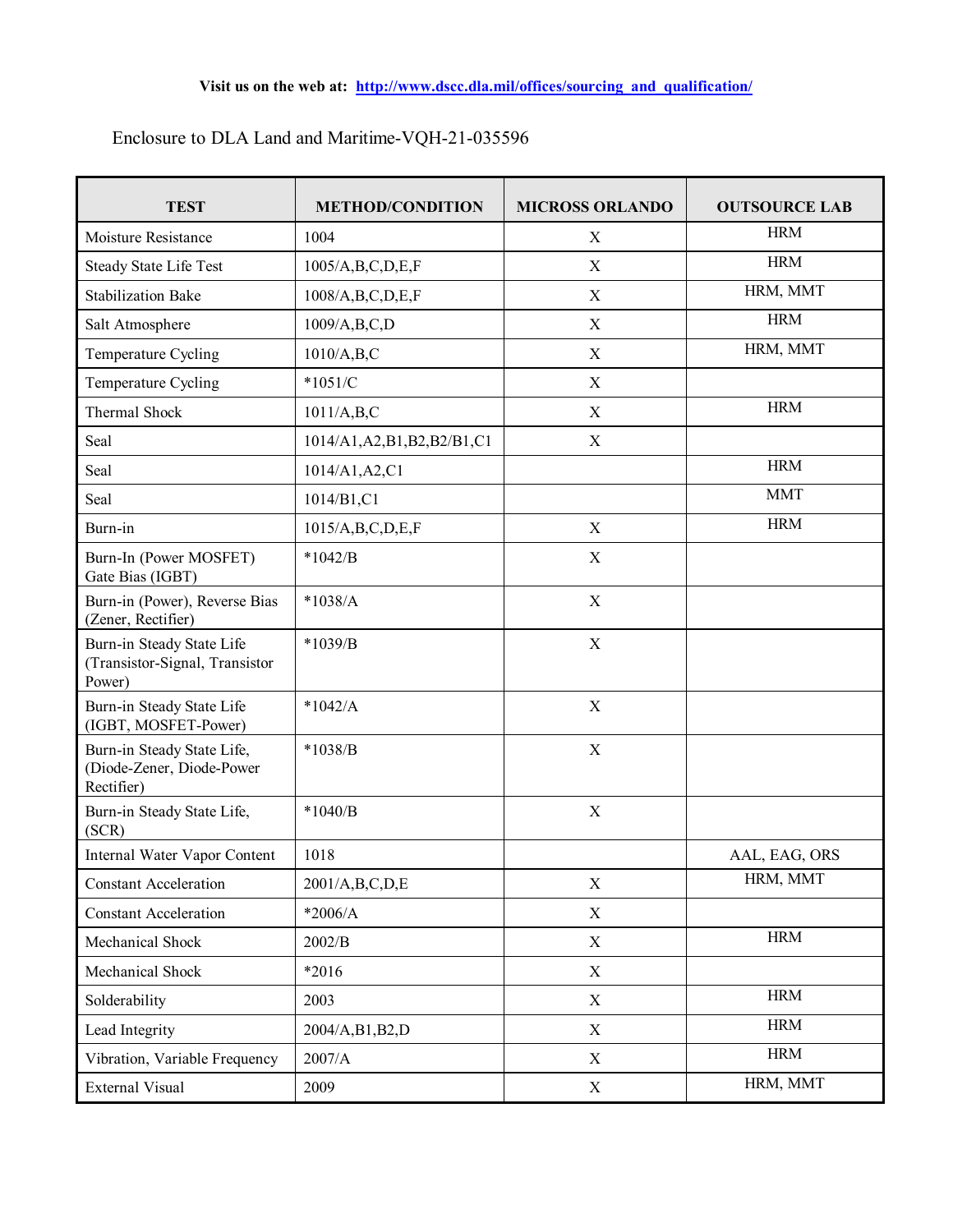| <b>TEST</b>                                                           | <b>METHOD/CONDITION</b>        | <b>MICROSS ORLANDO</b> | <b>OUTSOURCE LAB</b> |
|-----------------------------------------------------------------------|--------------------------------|------------------------|----------------------|
| Moisture Resistance                                                   | 1004                           | X                      | <b>HRM</b>           |
|                                                                       |                                |                        | <b>HRM</b>           |
| <b>Steady State Life Test</b>                                         | 1005/A,B,C,D,E,F               | X                      | HRM, MMT             |
| <b>Stabilization Bake</b>                                             | 1008/A,B,C,D,E,F               | $\mathbf X$            |                      |
| Salt Atmosphere                                                       | 1009/A,B,C,D                   | $\mathbf X$            | <b>HRM</b>           |
| Temperature Cycling                                                   | 1010/A,B,C                     | $\mathbf X$            | HRM, MMT             |
| Temperature Cycling                                                   | $*1051/C$                      | $\mathbf X$            |                      |
| Thermal Shock                                                         | 1011/A,B,C                     | $\mathbf X$            | <b>HRM</b>           |
| Seal                                                                  | 1014/A1, A2, B1, B2, B2/B1, C1 | X                      |                      |
| Seal                                                                  | 1014/A1, A2, C1                |                        | <b>HRM</b>           |
| Seal                                                                  | 1014/B1,C1                     |                        | <b>MMT</b>           |
| Burn-in                                                               | 1015/A,B,C,D,E,F               | X                      | <b>HRM</b>           |
| Burn-In (Power MOSFET)<br>Gate Bias (IGBT)                            | $*1042/B$                      | $\mathbf X$            |                      |
| Burn-in (Power), Reverse Bias<br>(Zener, Rectifier)                   | $*1038/A$                      | $\mathbf X$            |                      |
| Burn-in Steady State Life<br>(Transistor-Signal, Transistor<br>Power) | $*1039/B$                      | $\mathbf X$            |                      |
| Burn-in Steady State Life<br>(IGBT, MOSFET-Power)                     | $*1042/A$                      | $\mathbf X$            |                      |
| Burn-in Steady State Life,<br>(Diode-Zener, Diode-Power<br>Rectifier) | $*1038/B$                      | $\mathbf X$            |                      |
| Burn-in Steady State Life,<br>(SCR)                                   | $*1040/B$                      | $\mathbf X$            |                      |
| Internal Water Vapor Content                                          | 1018                           |                        | AAL, EAG, ORS        |
| <b>Constant Acceleration</b>                                          | 2001/A,B,C,D,E                 | X                      | HRM, MMT             |
| <b>Constant Acceleration</b>                                          | $*2006/A$                      | X                      |                      |
| Mechanical Shock                                                      | 2002/B                         | $\mathbf X$            | <b>HRM</b>           |
| Mechanical Shock                                                      | *2016                          | X                      |                      |
| Solderability                                                         | 2003                           | X                      | <b>HRM</b>           |
| Lead Integrity                                                        | 2004/A,B1,B2,D                 | X                      | <b>HRM</b>           |
| Vibration, Variable Frequency                                         | 2007/A                         | X                      | <b>HRM</b>           |
| External Visual                                                       | 2009                           | X                      | HRM, MMT             |

## Enclosure to DLA Land and Maritime-VQH-21-035596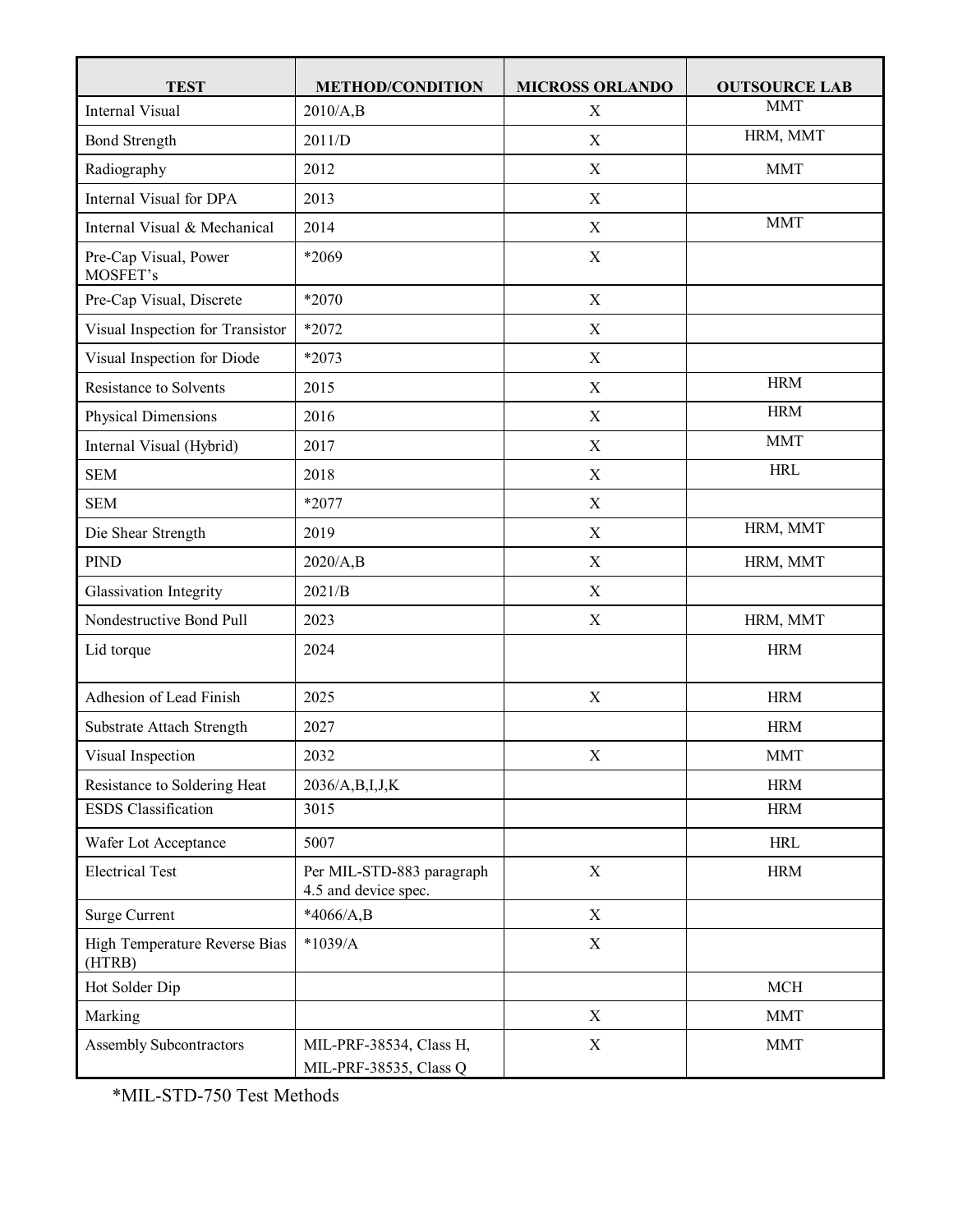| <b>TEST</b>                             | <b>METHOD/CONDITION</b>                           | <b>MICROSS ORLANDO</b> | <b>OUTSOURCE LAB</b> |
|-----------------------------------------|---------------------------------------------------|------------------------|----------------------|
| <b>Internal Visual</b>                  | 2010/A,B                                          | $\mathbf X$            | <b>MMT</b>           |
| <b>Bond Strength</b>                    | 2011/D                                            | $\mathbf X$            | HRM, MMT             |
| Radiography                             | 2012                                              | $\mathbf X$            | <b>MMT</b>           |
| Internal Visual for DPA                 | 2013                                              | $\mathbf X$            |                      |
| Internal Visual & Mechanical            | 2014                                              | $\mathbf X$            | <b>MMT</b>           |
| Pre-Cap Visual, Power<br>MOSFET's       | *2069                                             | $\mathbf X$            |                      |
| Pre-Cap Visual, Discrete                | *2070                                             | $\mathbf X$            |                      |
| Visual Inspection for Transistor        | *2072                                             | $\mathbf X$            |                      |
| Visual Inspection for Diode             | *2073                                             | $\mathbf X$            |                      |
| Resistance to Solvents                  | 2015                                              | $\mathbf X$            | <b>HRM</b>           |
| Physical Dimensions                     | 2016                                              | $\mathbf X$            | <b>HRM</b>           |
| Internal Visual (Hybrid)                | 2017                                              | $\mathbf X$            | <b>MMT</b>           |
| <b>SEM</b>                              | 2018                                              | X                      | <b>HRL</b>           |
| <b>SEM</b>                              | *2077                                             | $\mathbf X$            |                      |
| Die Shear Strength                      | 2019                                              | $\mathbf X$            | HRM, MMT             |
| <b>PIND</b>                             | 2020/A,B                                          | $\mathbf X$            | HRM, MMT             |
| Glassivation Integrity                  | 2021/B                                            | $\mathbf X$            |                      |
| Nondestructive Bond Pull                | 2023                                              | $\mathbf X$            | HRM, MMT             |
| Lid torque                              | 2024                                              |                        | <b>HRM</b>           |
| Adhesion of Lead Finish                 | 2025                                              | X                      | <b>HRM</b>           |
| Substrate Attach Strength               | 2027                                              |                        | <b>HRM</b>           |
| Visual Inspection                       | 2032                                              | $\mathbf X$            | <b>MMT</b>           |
| Resistance to Soldering Heat            | 2036/A,B,I,J,K                                    |                        | <b>HRM</b>           |
| <b>ESDS</b> Classification              | 3015                                              |                        | <b>HRM</b>           |
| Wafer Lot Acceptance                    | 5007                                              |                        | <b>HRL</b>           |
| <b>Electrical Test</b>                  | Per MIL-STD-883 paragraph<br>4.5 and device spec. | $\mathbf X$            | <b>HRM</b>           |
| <b>Surge Current</b>                    | $*4066/A,B$                                       | $\mathbf X$            |                      |
| High Temperature Reverse Bias<br>(HTRB) | $*1039/A$                                         | $\mathbf X$            |                      |
| Hot Solder Dip                          |                                                   |                        | MCH                  |
| Marking                                 |                                                   | $\mathbf X$            | <b>MMT</b>           |
| Assembly Subcontractors                 | MIL-PRF-38534, Class H,<br>MIL-PRF-38535, Class Q | $\mathbf X$            | <b>MMT</b>           |

\*MIL-STD-750 Test Methods